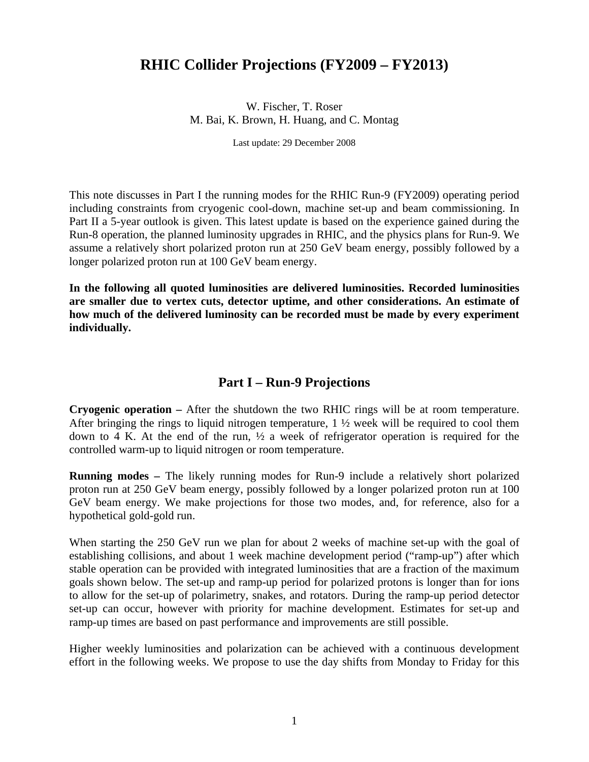## **RHIC Collider Projections (FY2009 – FY2013)**

W. Fischer, T. Roser M. Bai, K. Brown, H. Huang, and C. Montag

Last update: 29 December 2008

This note discusses in Part I the running modes for the RHIC Run-9 (FY2009) operating period including constraints from cryogenic cool-down, machine set-up and beam commissioning. In Part II a 5-year outlook is given. This latest update is based on the experience gained during the Run-8 operation, the planned luminosity upgrades in RHIC, and the physics plans for Run-9. We assume a relatively short polarized proton run at 250 GeV beam energy, possibly followed by a longer polarized proton run at 100 GeV beam energy.

**In the following all quoted luminosities are delivered luminosities. Recorded luminosities are smaller due to vertex cuts, detector uptime, and other considerations. An estimate of how much of the delivered luminosity can be recorded must be made by every experiment individually.** 

## **Part I – Run-9 Projections**

**Cryogenic operation –** After the shutdown the two RHIC rings will be at room temperature. After bringing the rings to liquid nitrogen temperature,  $1 \frac{1}{2}$  week will be required to cool them down to 4 K. At the end of the run, ½ a week of refrigerator operation is required for the controlled warm-up to liquid nitrogen or room temperature.

**Running modes –** The likely running modes for Run-9 include a relatively short polarized proton run at 250 GeV beam energy, possibly followed by a longer polarized proton run at 100 GeV beam energy. We make projections for those two modes, and, for reference, also for a hypothetical gold-gold run.

When starting the 250 GeV run we plan for about 2 weeks of machine set-up with the goal of establishing collisions, and about 1 week machine development period ("ramp-up") after which stable operation can be provided with integrated luminosities that are a fraction of the maximum goals shown below. The set-up and ramp-up period for polarized protons is longer than for ions to allow for the set-up of polarimetry, snakes, and rotators. During the ramp-up period detector set-up can occur, however with priority for machine development. Estimates for set-up and ramp-up times are based on past performance and improvements are still possible.

Higher weekly luminosities and polarization can be achieved with a continuous development effort in the following weeks. We propose to use the day shifts from Monday to Friday for this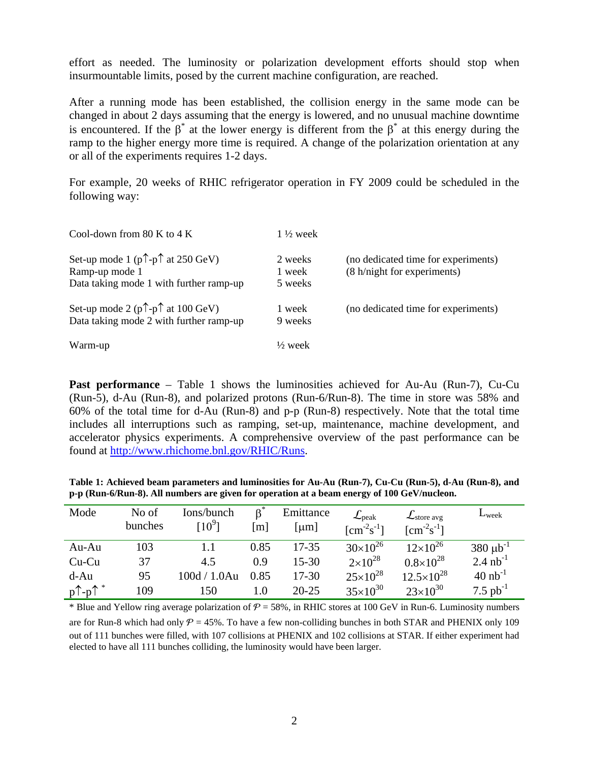effort as needed. The luminosity or polarization development efforts should stop when insurmountable limits, posed by the current machine configuration, are reached.

After a running mode has been established, the collision energy in the same mode can be changed in about 2 days assuming that the energy is lowered, and no unusual machine downtime is encountered. If the  $\beta^*$  at the lower energy is different from the  $\beta^*$  at this energy during the ramp to the higher energy more time is required. A change of the polarization orientation at any or all of the experiments requires 1-2 days.

For example, 20 weeks of RHIC refrigerator operation in FY 2009 could be scheduled in the following way:

| Cool-down from 80 K to 4 K                                                                                           | $1\frac{1}{2}$ week          |                                                                    |
|----------------------------------------------------------------------------------------------------------------------|------------------------------|--------------------------------------------------------------------|
| Set-up mode 1 ( $p \uparrow$ - $p \uparrow$ at 250 GeV)<br>Ramp-up mode 1<br>Data taking mode 1 with further ramp-up | 2 weeks<br>1 week<br>5 weeks | (no dedicated time for experiments)<br>(8 h/night for experiments) |
| Set-up mode 2 ( $p \uparrow$ - $p \uparrow$ at 100 GeV)<br>Data taking mode 2 with further ramp-up                   | 1 week<br>9 weeks            | (no dedicated time for experiments)                                |
| Warm-up                                                                                                              | $\frac{1}{2}$ week           |                                                                    |

**Past performance** – Table 1 shows the luminosities achieved for Au-Au (Run-7), Cu-Cu (Run-5), d-Au (Run-8), and polarized protons (Run-6/Run-8). The time in store was 58% and 60% of the total time for d-Au (Run-8) and p-p (Run-8) respectively. Note that the total time includes all interruptions such as ramping, set-up, maintenance, machine development, and accelerator physics experiments. A comprehensive overview of the past performance can be found at http://www.rhichome.bnl.gov/RHIC/Runs.

**Table 1: Achieved beam parameters and luminosities for Au-Au (Run-7), Cu-Cu (Run-5), d-Au (Run-8), and p-p (Run-6/Run-8). All numbers are given for operation at a beam energy of 100 GeV/nucleon.** 

| Mode                           | No of<br>bunches | Ions/bunch<br>$10^9$ ] | $\beta^*$<br>[m] | Emittance<br>[ $\mu$ m] | $\mathcal{L}_{\text{peak}}$<br>$\text{[cm}^{-2}\text{s}^{-1}$ ] | $\mathcal{L}_{\text{store avg}}$<br>$\lceil$ cm <sup>-2</sup> s <sup>-1</sup> ] | $L_{week}$            |
|--------------------------------|------------------|------------------------|------------------|-------------------------|-----------------------------------------------------------------|---------------------------------------------------------------------------------|-----------------------|
| Au-Au                          | 103              |                        | 0.85             | $17 - 35$               | $30\times10^{26}$                                               | $12\times10^{26}$                                                               | $380 \mu b^{-1}$      |
| $Cu-Cu$                        | 37               | 4.5                    | 0.9              | $15 - 30$               | $2 \times 10^{28}$                                              | $0.8\times10^{28}$                                                              | $2.4 \text{ nb}^{-1}$ |
| $d-Au$                         | 95               | 100d / 1.0Au           | 0.85             | $17 - 30$               | $25 \times 10^{28}$                                             | $12.5\times10^{28}$                                                             | $40 \text{ nb}^{-1}$  |
| $p^{\uparrow}$ -p $\uparrow^*$ | 109              | 150                    | $1.0\,$          | $20 - 25$               | $35\times10^{30}$                                               | $23\times10^{30}$                                                               | 7.5 $pb^{-1}$         |

\* Blue and Yellow ring average polarization of  $\mathcal{P} = 58\%$ , in RHIC stores at 100 GeV in Run-6. Luminosity numbers are for Run-8 which had only  $P = 45\%$ . To have a few non-colliding bunches in both STAR and PHENIX only 109 out of 111 bunches were filled, with 107 collisions at PHENIX and 102 collisions at STAR. If either experiment had elected to have all 111 bunches colliding, the luminosity would have been larger.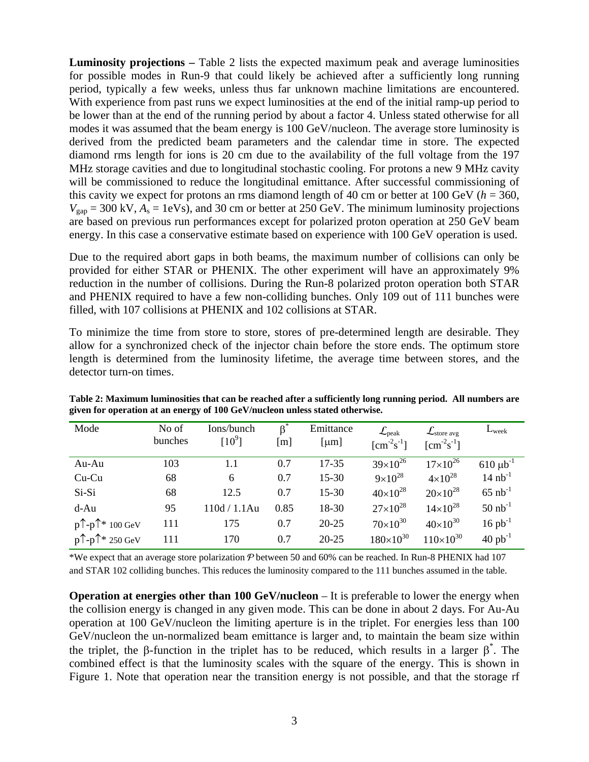**Luminosity projections –** Table 2 lists the expected maximum peak and average luminosities for possible modes in Run-9 that could likely be achieved after a sufficiently long running period, typically a few weeks, unless thus far unknown machine limitations are encountered. With experience from past runs we expect luminosities at the end of the initial ramp-up period to be lower than at the end of the running period by about a factor 4. Unless stated otherwise for all modes it was assumed that the beam energy is 100 GeV/nucleon. The average store luminosity is derived from the predicted beam parameters and the calendar time in store. The expected diamond rms length for ions is 20 cm due to the availability of the full voltage from the 197 MHz storage cavities and due to longitudinal stochastic cooling. For protons a new 9 MHz cavity will be commissioned to reduce the longitudinal emittance. After successful commissioning of this cavity we expect for protons an rms diamond length of 40 cm or better at 100 GeV ( $h = 360$ ,  $V_{\text{gap}} = 300 \text{ kV}, A_{\text{s}} = 1 \text{ eV s}$ , and 30 cm or better at 250 GeV. The minimum luminosity projections are based on previous run performances except for polarized proton operation at 250 GeV beam energy. In this case a conservative estimate based on experience with 100 GeV operation is used.

Due to the required abort gaps in both beams, the maximum number of collisions can only be provided for either STAR or PHENIX. The other experiment will have an approximately 9% reduction in the number of collisions. During the Run-8 polarized proton operation both STAR and PHENIX required to have a few non-colliding bunches. Only 109 out of 111 bunches were filled, with 107 collisions at PHENIX and 102 collisions at STAR.

To minimize the time from store to store, stores of pre-determined length are desirable. They allow for a synchronized check of the injector chain before the store ends. The optimum store length is determined from the luminosity lifetime, the average time between stores, and the detector turn-on times.

| Mode                                     | No of   | Ions/bunch   | $\beta^*$ | Emittance  | $\mathcal{L}_{\mathrm{peak}}$    | $\mathcal{L}_{\text{store avg}}$            | $L_{\text{week}}$     |
|------------------------------------------|---------|--------------|-----------|------------|----------------------------------|---------------------------------------------|-----------------------|
|                                          | bunches | [ $10^9$ ]   | [m]       | [ $\mu$ m] | $\text{[cm}^{-2}\text{s}^{-1}$ ] | $\lceil$ cm <sup>-2</sup> s <sup>-1</sup> ] |                       |
| Au-Au                                    | 103     | 1.1          | 0.7       | $17 - 35$  | $39\times10^{26}$                | $17\times10^{26}$                           | $610 \mu b^{-1}$      |
| $Cu$ - $Cu$                              | 68      | 6            | 0.7       | $15 - 30$  | $9 \times 10^{28}$               | $4 \times 10^{28}$                          | $14 nb^{-1}$          |
| Si-Si                                    | 68      | 12.5         | 0.7       | $15 - 30$  | $40\times10^{28}$                | $20\times10^{28}$                           | $65$ nb <sup>-1</sup> |
| $d-Au$                                   | 95      | 110d / 1.1Au | 0.85      | 18-30      | $27\times10^{28}$                | $14\times10^{28}$                           | $50$ nb <sup>-1</sup> |
| $p^{\uparrow}$ - $p^{\uparrow*}$ 100 GeV | 111     | 175          | 0.7       | $20 - 25$  | $70\times10^{30}$                | $40\times10^{30}$                           | $16 pb^{-1}$          |
| $p^{\uparrow}$ - $p^{\uparrow*}$ 250 GeV | 111     | 170          | 0.7       | $20 - 25$  | $180\times10^{30}$               | $110\times10^{30}$                          | $40$ pb <sup>-1</sup> |

**Table 2: Maximum luminosities that can be reached after a sufficiently long running period. All numbers are given for operation at an energy of 100 GeV/nucleon unless stated otherwise.** 

\*We expect that an average store polarization  $P$  between 50 and 60% can be reached. In Run-8 PHENIX had 107 and STAR 102 colliding bunches. This reduces the luminosity compared to the 111 bunches assumed in the table.

**Operation at energies other than 100 GeV/nucleon** – It is preferable to lower the energy when the collision energy is changed in any given mode. This can be done in about 2 days. For Au-Au operation at 100 GeV/nucleon the limiting aperture is in the triplet. For energies less than 100 GeV/nucleon the un-normalized beam emittance is larger and, to maintain the beam size within the triplet, the β-function in the triplet has to be reduced, which results in a larger  $\beta^*$ . The combined effect is that the luminosity scales with the square of the energy. This is shown in Figure 1. Note that operation near the transition energy is not possible, and that the storage rf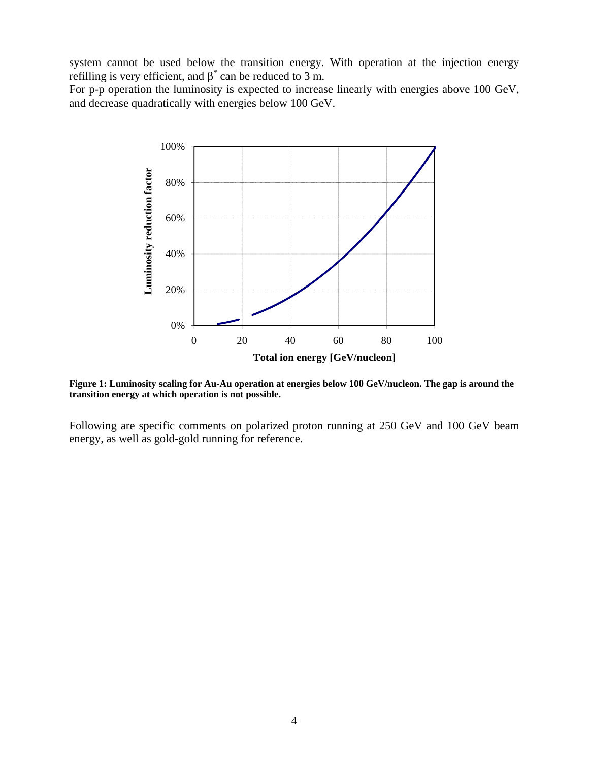system cannot be used below the transition energy. With operation at the injection energy refilling is very efficient, and  $\beta^*$  can be reduced to 3 m.

For p-p operation the luminosity is expected to increase linearly with energies above 100 GeV, and decrease quadratically with energies below 100 GeV.



**Figure 1: Luminosity scaling for Au-Au operation at energies below 100 GeV/nucleon. The gap is around the transition energy at which operation is not possible.**

Following are specific comments on polarized proton running at 250 GeV and 100 GeV beam energy, as well as gold-gold running for reference.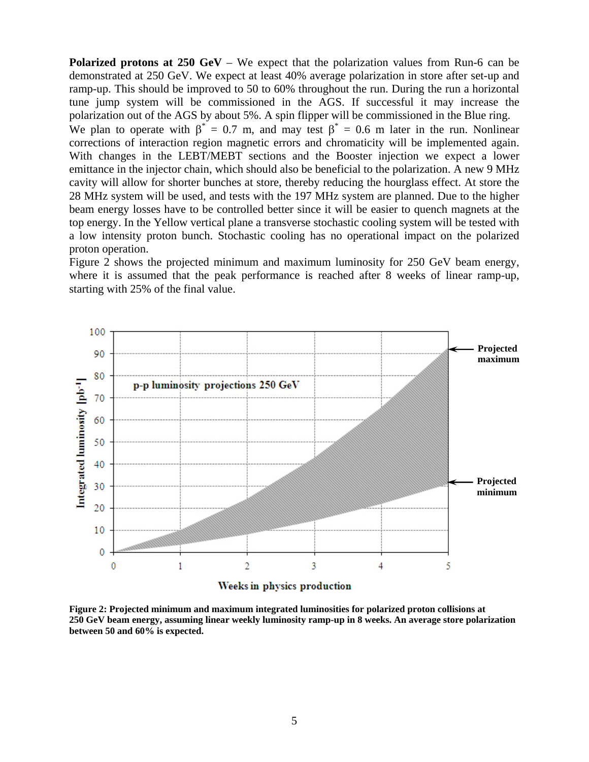**Polarized protons at 250 GeV** – We expect that the polarization values from Run-6 can be demonstrated at 250 GeV. We expect at least 40% average polarization in store after set-up and ramp-up. This should be improved to 50 to 60% throughout the run. During the run a horizontal tune jump system will be commissioned in the AGS. If successful it may increase the polarization out of the AGS by about 5%. A spin flipper will be commissioned in the Blue ring. We plan to operate with  $\beta^* = 0.7$  m, and may test  $\beta^* = 0.6$  m later in the run. Nonlinear corrections of interaction region magnetic errors and chromaticity will be implemented again. With changes in the LEBT/MEBT sections and the Booster injection we expect a lower emittance in the injector chain, which should also be beneficial to the polarization. A new 9 MHz cavity will allow for shorter bunches at store, thereby reducing the hourglass effect. At store the 28 MHz system will be used, and tests with the 197 MHz system are planned. Due to the higher beam energy losses have to be controlled better since it will be easier to quench magnets at the top energy. In the Yellow vertical plane a transverse stochastic cooling system will be tested with a low intensity proton bunch. Stochastic cooling has no operational impact on the polarized proton operation.

Figure 2 shows the projected minimum and maximum luminosity for 250 GeV beam energy, where it is assumed that the peak performance is reached after 8 weeks of linear ramp-up, starting with 25% of the final value.



**Weeks** in physics production

**Figure 2: Projected minimum and maximum integrated luminosities for polarized proton collisions at 250 GeV beam energy, assuming linear weekly luminosity ramp-up in 8 weeks. An average store polarization between 50 and 60% is expected.**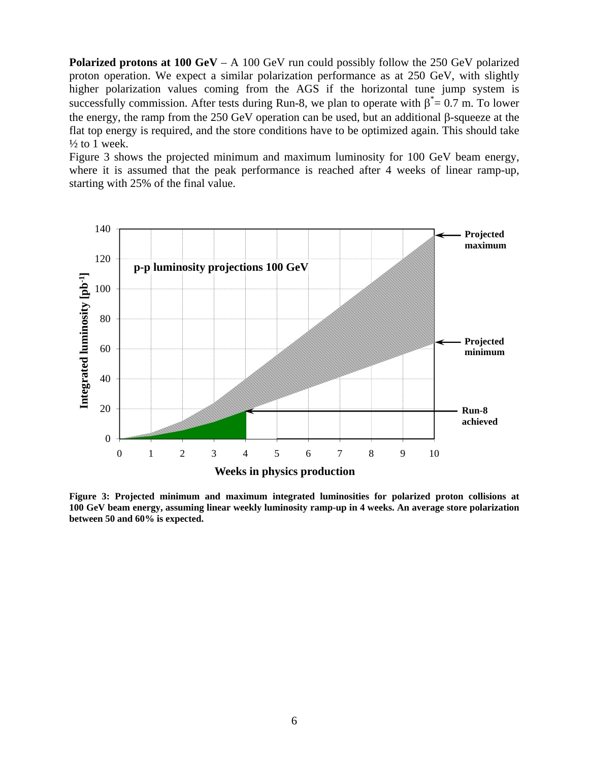**Polarized protons at 100 GeV** – A 100 GeV run could possibly follow the 250 GeV polarized proton operation. We expect a similar polarization performance as at 250 GeV, with slightly higher polarization values coming from the AGS if the horizontal tune jump system is successfully commission. After tests during Run-8, we plan to operate with  $\beta^* = 0.7$  m. To lower the energy, the ramp from the 250 GeV operation can be used, but an additional β-squeeze at the flat top energy is required, and the store conditions have to be optimized again. This should take  $\frac{1}{2}$  to 1 week.

Figure 3 shows the projected minimum and maximum luminosity for 100 GeV beam energy, where it is assumed that the peak performance is reached after 4 weeks of linear ramp-up, starting with 25% of the final value.



**Figure 3: Projected minimum and maximum integrated luminosities for polarized proton collisions at 100 GeV beam energy, assuming linear weekly luminosity ramp-up in 4 weeks. An average store polarization between 50 and 60% is expected.**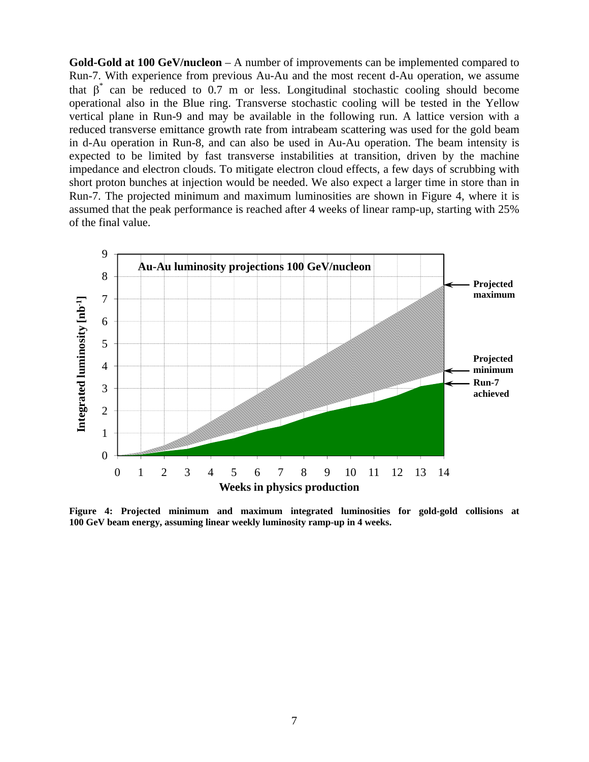**Gold-Gold at 100 GeV/nucleon** – A number of improvements can be implemented compared to Run-7. With experience from previous Au-Au and the most recent d-Au operation, we assume that  $\beta^*$  can be reduced to 0.7 m or less. Longitudinal stochastic cooling should become operational also in the Blue ring. Transverse stochastic cooling will be tested in the Yellow vertical plane in Run-9 and may be available in the following run. A lattice version with a reduced transverse emittance growth rate from intrabeam scattering was used for the gold beam in d-Au operation in Run-8, and can also be used in Au-Au operation. The beam intensity is expected to be limited by fast transverse instabilities at transition, driven by the machine impedance and electron clouds. To mitigate electron cloud effects, a few days of scrubbing with short proton bunches at injection would be needed. We also expect a larger time in store than in Run-7. The projected minimum and maximum luminosities are shown in Figure 4, where it is assumed that the peak performance is reached after 4 weeks of linear ramp-up, starting with 25% of the final value.



**Figure 4: Projected minimum and maximum integrated luminosities for gold-gold collisions at 100 GeV beam energy, assuming linear weekly luminosity ramp-up in 4 weeks.**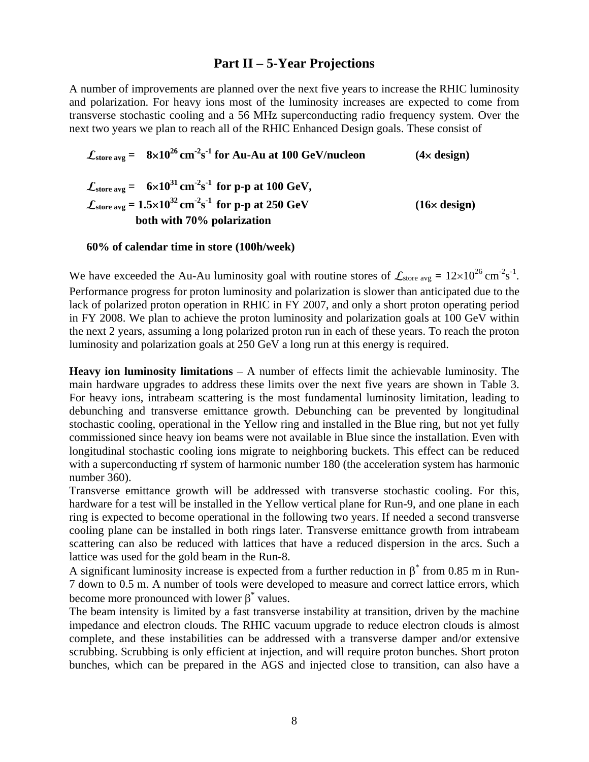## **Part II – 5-Year Projections**

A number of improvements are planned over the next five years to increase the RHIC luminosity and polarization. For heavy ions most of the luminosity increases are expected to come from transverse stochastic cooling and a 56 MHz superconducting radio frequency system. Over the next two years we plan to reach all of the RHIC Enhanced Design goals. These consist of

$$
\mathcal{L}_{\text{store avg}} = 8 \times 10^{26} \text{ cm}^{-2} \text{s}^{-1} \text{ for Au-Au at 100 GeV/nucleon}
$$
 (4× design)  
\n
$$
\mathcal{L}_{\text{store avg}} = 6 \times 10^{31} \text{ cm}^{-2} \text{s}^{-1} \text{ for p-p at 100 GeV},
$$
\n
$$
\mathcal{L}_{\text{store avg}} = 1.5 \times 10^{32} \text{ cm}^{-2} \text{s}^{-1} \text{ for p-p at 250 GeV}
$$
 (16× design)  
\nboth with 70% polarization  
\n(16× design)

**60% of calendar time in store (100h/week)** 

We have exceeded the Au-Au luminosity goal with routine stores of  $\mathcal{L}_{\text{store avg}} = 12 \times 10^{26} \text{ cm}^{-2} \text{s}^{-1}$ . Performance progress for proton luminosity and polarization is slower than anticipated due to the lack of polarized proton operation in RHIC in FY 2007, and only a short proton operating period in FY 2008. We plan to achieve the proton luminosity and polarization goals at 100 GeV within the next 2 years, assuming a long polarized proton run in each of these years. To reach the proton luminosity and polarization goals at 250 GeV a long run at this energy is required.

**Heavy ion luminosity limitations** – A number of effects limit the achievable luminosity. The main hardware upgrades to address these limits over the next five years are shown in Table 3. For heavy ions, intrabeam scattering is the most fundamental luminosity limitation, leading to debunching and transverse emittance growth. Debunching can be prevented by longitudinal stochastic cooling, operational in the Yellow ring and installed in the Blue ring, but not yet fully commissioned since heavy ion beams were not available in Blue since the installation. Even with longitudinal stochastic cooling ions migrate to neighboring buckets. This effect can be reduced with a superconducting rf system of harmonic number 180 (the acceleration system has harmonic number 360).

Transverse emittance growth will be addressed with transverse stochastic cooling. For this, hardware for a test will be installed in the Yellow vertical plane for Run-9, and one plane in each ring is expected to become operational in the following two years. If needed a second transverse cooling plane can be installed in both rings later. Transverse emittance growth from intrabeam scattering can also be reduced with lattices that have a reduced dispersion in the arcs. Such a lattice was used for the gold beam in the Run-8.

A significant luminosity increase is expected from a further reduction in  $\beta^*$  from 0.85 m in Run-7 down to 0.5 m. A number of tools were developed to measure and correct lattice errors, which become more pronounced with lower  $\beta^*$  values.

The beam intensity is limited by a fast transverse instability at transition, driven by the machine impedance and electron clouds. The RHIC vacuum upgrade to reduce electron clouds is almost complete, and these instabilities can be addressed with a transverse damper and/or extensive scrubbing. Scrubbing is only efficient at injection, and will require proton bunches. Short proton bunches, which can be prepared in the AGS and injected close to transition, can also have a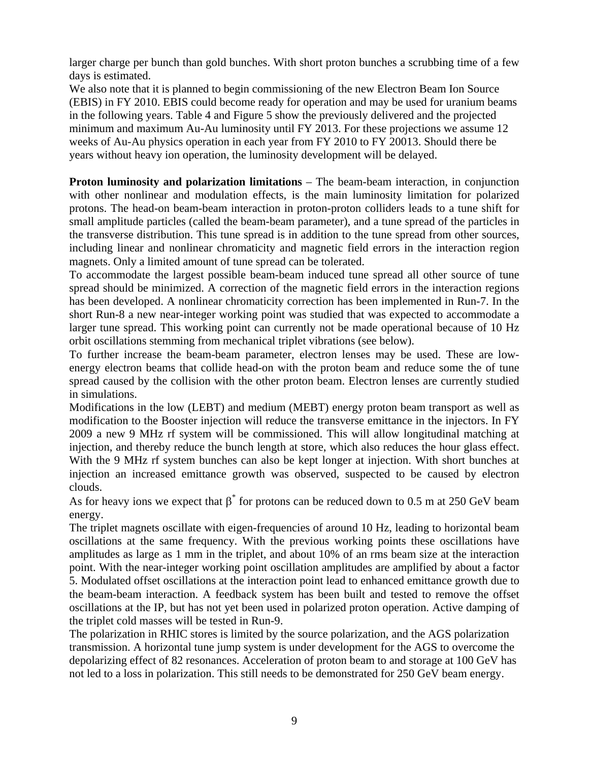larger charge per bunch than gold bunches. With short proton bunches a scrubbing time of a few days is estimated.

We also note that it is planned to begin commissioning of the new Electron Beam Ion Source (EBIS) in FY 2010. EBIS could become ready for operation and may be used for uranium beams in the following years. Table 4 and Figure 5 show the previously delivered and the projected minimum and maximum Au-Au luminosity until FY 2013. For these projections we assume 12 weeks of Au-Au physics operation in each year from FY 2010 to FY 20013. Should there be years without heavy ion operation, the luminosity development will be delayed.

**Proton luminosity and polarization limitations** – The beam-beam interaction, in conjunction with other nonlinear and modulation effects, is the main luminosity limitation for polarized protons. The head-on beam-beam interaction in proton-proton colliders leads to a tune shift for small amplitude particles (called the beam-beam parameter), and a tune spread of the particles in the transverse distribution. This tune spread is in addition to the tune spread from other sources, including linear and nonlinear chromaticity and magnetic field errors in the interaction region magnets. Only a limited amount of tune spread can be tolerated.

To accommodate the largest possible beam-beam induced tune spread all other source of tune spread should be minimized. A correction of the magnetic field errors in the interaction regions has been developed. A nonlinear chromaticity correction has been implemented in Run-7. In the short Run-8 a new near-integer working point was studied that was expected to accommodate a larger tune spread. This working point can currently not be made operational because of 10 Hz orbit oscillations stemming from mechanical triplet vibrations (see below).

To further increase the beam-beam parameter, electron lenses may be used. These are lowenergy electron beams that collide head-on with the proton beam and reduce some the of tune spread caused by the collision with the other proton beam. Electron lenses are currently studied in simulations.

Modifications in the low (LEBT) and medium (MEBT) energy proton beam transport as well as modification to the Booster injection will reduce the transverse emittance in the injectors. In FY 2009 a new 9 MHz rf system will be commissioned. This will allow longitudinal matching at injection, and thereby reduce the bunch length at store, which also reduces the hour glass effect. With the 9 MHz rf system bunches can also be kept longer at injection. With short bunches at injection an increased emittance growth was observed, suspected to be caused by electron clouds.

As for heavy ions we expect that  $\beta^*$  for protons can be reduced down to 0.5 m at 250 GeV beam energy.

The triplet magnets oscillate with eigen-frequencies of around 10 Hz, leading to horizontal beam oscillations at the same frequency. With the previous working points these oscillations have amplitudes as large as 1 mm in the triplet, and about 10% of an rms beam size at the interaction point. With the near-integer working point oscillation amplitudes are amplified by about a factor 5. Modulated offset oscillations at the interaction point lead to enhanced emittance growth due to the beam-beam interaction. A feedback system has been built and tested to remove the offset oscillations at the IP, but has not yet been used in polarized proton operation. Active damping of the triplet cold masses will be tested in Run-9.

The polarization in RHIC stores is limited by the source polarization, and the AGS polarization transmission. A horizontal tune jump system is under development for the AGS to overcome the depolarizing effect of 82 resonances. Acceleration of proton beam to and storage at 100 GeV has not led to a loss in polarization. This still needs to be demonstrated for 250 GeV beam energy.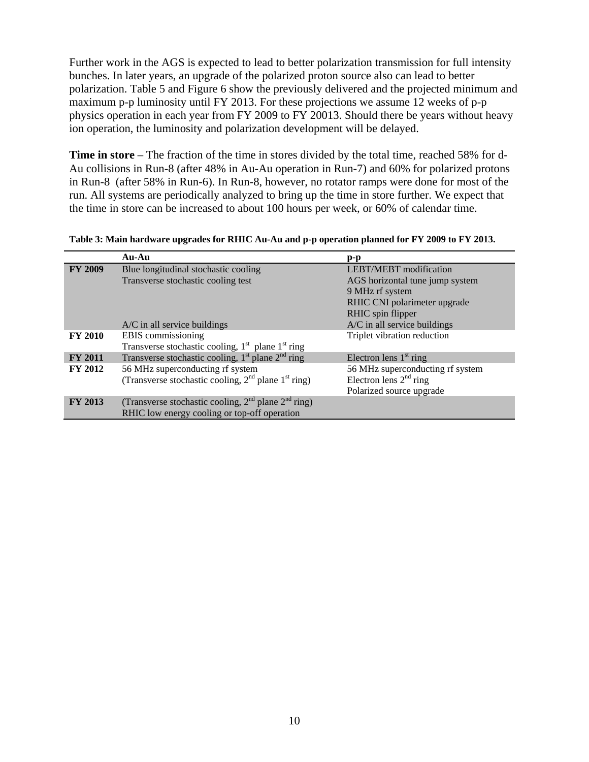Further work in the AGS is expected to lead to better polarization transmission for full intensity bunches. In later years, an upgrade of the polarized proton source also can lead to better polarization. Table 5 and Figure 6 show the previously delivered and the projected minimum and maximum p-p luminosity until FY 2013. For these projections we assume 12 weeks of p-p physics operation in each year from FY 2009 to FY 20013. Should there be years without heavy ion operation, the luminosity and polarization development will be delayed.

**Time in store** – The fraction of the time in stores divided by the total time, reached 58% for d-Au collisions in Run-8 (after 48% in Au-Au operation in Run-7) and 60% for polarized protons in Run-8 (after 58% in Run-6). In Run-8, however, no rotator ramps were done for most of the run. All systems are periodically analyzed to bring up the time in store further. We expect that the time in store can be increased to about 100 hours per week, or 60% of calendar time.

**Table 3: Main hardware upgrades for RHIC Au-Au and p-p operation planned for FY 2009 to FY 2013.** 

|                | Au-Au                                                                     | $\mathbf{p}\text{-}\mathbf{p}$   |
|----------------|---------------------------------------------------------------------------|----------------------------------|
| <b>FY 2009</b> | Blue longitudinal stochastic cooling                                      | <b>LEBT/MEBT</b> modification    |
|                | Transverse stochastic cooling test                                        | AGS horizontal tune jump system  |
|                |                                                                           | 9 MHz rf system                  |
|                |                                                                           | RHIC CNI polarimeter upgrade     |
|                |                                                                           | RHIC spin flipper                |
|                | $A/C$ in all service buildings                                            | A/C in all service buildings     |
| <b>FY 2010</b> | EBIS commissioning                                                        | Triplet vibration reduction      |
|                | Transverse stochastic cooling, 1 <sup>st</sup> plane 1 <sup>st</sup> ring |                                  |
| <b>FY 2011</b> | Transverse stochastic cooling, $1st$ plane $2nd$ ring                     | Electron lens $1st$ ring         |
| <b>FY 2012</b> | 56 MHz superconducting rf system                                          | 56 MHz superconducting rf system |
|                | (Transverse stochastic cooling, $2nd$ plane $1st$ ring)                   | Electron lens $2nd$ ring         |
|                |                                                                           | Polarized source upgrade         |
| <b>FY 2013</b> | (Transverse stochastic cooling, $2nd$ plane $2nd$ ring)                   |                                  |
|                | RHIC low energy cooling or top-off operation                              |                                  |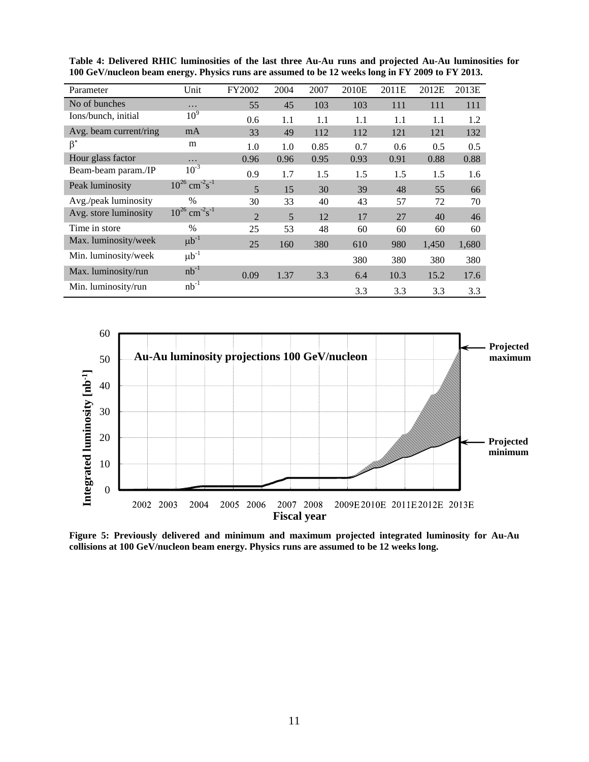| Parameter              | Unit                                       | FY2002         | 2004 | 2007 | 2010E | 2011E | 2012E | 2013E |
|------------------------|--------------------------------------------|----------------|------|------|-------|-------|-------|-------|
| No of bunches          | .                                          | 55             | 45   | 103  | 103   | 111   | 111   | 111   |
| Ions/bunch, initial    | 10 <sup>9</sup>                            | 0.6            | 1.1  | 1.1  | 1.1   | 1.1   | 1.1   | 1.2   |
| Avg. beam current/ring | mA                                         | 33             | 49   | 112  | 112   | 121   | 121   | 132   |
| $\beta^*$              | m                                          | 1.0            | 1.0  | 0.85 | 0.7   | 0.6   | 0.5   | 0.5   |
| Hour glass factor      | .                                          | 0.96           | 0.96 | 0.95 | 0.93  | 0.91  | 0.88  | 0.88  |
| Beam-beam param./IP    | $10^{-3}$                                  | 0.9            | 1.7  | 1.5  | 1.5   | 1.5   | 1.5   | 1.6   |
| Peak luminosity        | $10^{26}$ cm <sup>-2</sup> s <sup>-1</sup> | 5              | 15   | 30   | 39    | 48    | 55    | 66    |
| Avg./peak luminosity   | $\frac{0}{0}$                              | 30             | 33   | 40   | 43    | 57    | 72    | 70    |
| Avg. store luminosity  | $10^{26}$ cm <sup>-2</sup> s <sup>-1</sup> | $\overline{2}$ | 5    | 12   | 17    | 27    | 40    | 46    |
| Time in store          | $\frac{0}{0}$                              | 25             | 53   | 48   | 60    | 60    | 60    | 60    |
| Max. luminosity/week   | $\mu b^{-1}$                               | 25             | 160  | 380  | 610   | 980   | 1,450 | 1,680 |
| Min. luminosity/week   | $\mu b^{-1}$                               |                |      |      | 380   | 380   | 380   | 380   |
| Max. luminosity/run    | $nb^{-1}$                                  | 0.09           | 1.37 | 3.3  | 6.4   | 10.3  | 15.2  | 17.6  |
| Min. luminosity/run    | $nb^{-1}$                                  |                |      |      | 3.3   | 3.3   | 3.3   | 3.3   |

**Table 4: Delivered RHIC luminosities of the last three Au-Au runs and projected Au-Au luminosities for 100 GeV/nucleon beam energy. Physics runs are assumed to be 12 weeks long in FY 2009 to FY 2013.** 



**Figure 5: Previously delivered and minimum and maximum projected integrated luminosity for Au-Au collisions at 100 GeV/nucleon beam energy. Physics runs are assumed to be 12 weeks long.**